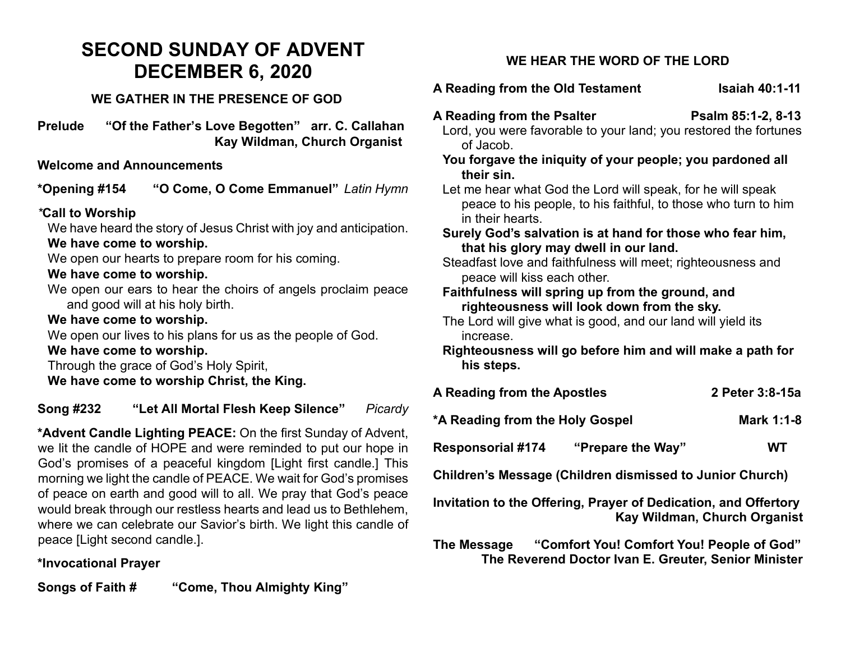# **SECOND SUNDAY OF ADVENT DECEMBER 6, 2020**

### **WE GATHER IN THE PRESENCE OF GOD**

**Prelude "Of the Father's Love Begotten" arr. C. Callahan Kay Wildman, Church Organist**

### **Welcome and Announcements**

**\*Opening #154 "O Come, O Come Emmanuel"** *Latin Hymn*

### *\****Call to Worship**

We have heard the story of Jesus Christ with joy and anticipation. **We have come to worship.**

We open our hearts to prepare room for his coming.

### **We have come to worship.**

We open our ears to hear the choirs of angels proclaim peace and good will at his holy birth.

### **We have come to worship.**

We open our lives to his plans for us as the people of God.

#### **We have come to worship.**

Through the grace of God's Holy Spirit,

**We have come to worship Christ, the King.**

**Song #232 "Let All Mortal Flesh Keep Silence"** *Picardy*

**\*Advent Candle Lighting PEACE:** On the first Sunday of Advent, we lit the candle of HOPE and were reminded to put our hope in God's promises of a peaceful kingdom [Light first candle.] This morning we light the candle of PEACE. We wait for God's promises of peace on earth and good will to all. We pray that God's peace would break through our restless hearts and lead us to Bethlehem, where we can celebrate our Savior's birth. We light this candle of peace [Light second candle.].

### **\*Invocational Prayer**

**Songs of Faith # "Come, Thou Almighty King"**

# **WE HEAR THE WORD OF THE LORD**

# A Reading from the Old Testament Isaiah 40:1-11

- **A Reading from the Psalter Psalm 85:1-2, 8-13** Lord, you were favorable to your land; you restored the fortunes of Jacob.
	- **You forgave the iniquity of your people; you pardoned all their sin.**
	- Let me hear what God the Lord will speak, for he will speak peace to his people, to his faithful, to those who turn to him in their hearts.
	- **Surely God's salvation is at hand for those who fear him, that his glory may dwell in our land.**
	- Steadfast love and faithfulness will meet: righteousness and peace will kiss each other.

#### **Faithfulness will spring up from the ground, and righteousness will look down from the sky.**

- The Lord will give what is good, and our land will yield its increase.
- **Righteousness will go before him and will make a path for his steps.**

| A Reading from the Apostles     |                                                                 | 2 Peter 3:8-15a              |
|---------------------------------|-----------------------------------------------------------------|------------------------------|
| *A Reading from the Holy Gospel |                                                                 | Mark 1:1-8                   |
| <b>Responsorial #174</b>        | "Prepare the Way"                                               | WT                           |
|                                 | <b>Children's Message (Children dismissed to Junior Church)</b> |                              |
|                                 | Invitation to the Offering, Prayer of Dedication, and Offertory | Kay Wildman, Church Organist |

**The Message "Comfort You! Comfort You! People of God" The Reverend Doctor Ivan E. Greuter, Senior Minister**